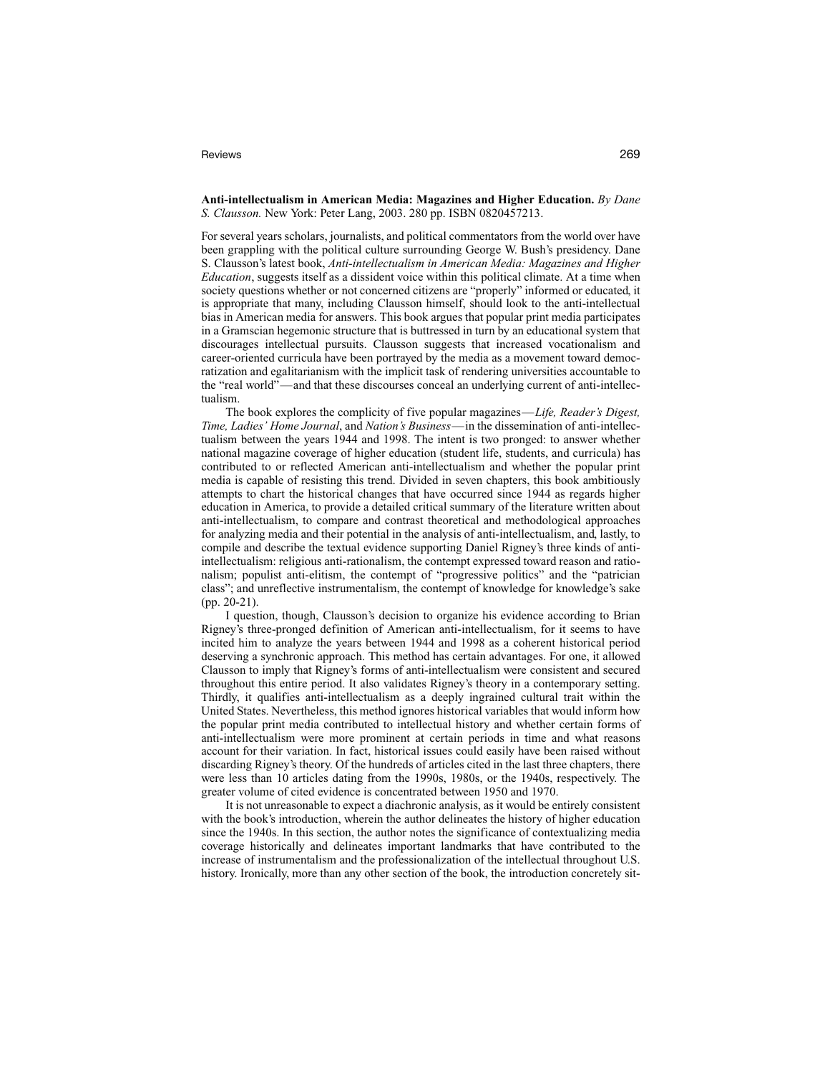## Reviews 269

## **Anti-intellectualism in American Media: Magazines and Higher Education.** *By Dane S. Clausson.* New York: Peter Lang, 2003. 280 pp. ISBN 0820457213.

For several years scholars, journalists, and political commentators from the world over have been grappling with the political culture surrounding George W. Bush's presidency. Dane S. Clausson's latest book, *Anti-intellectualism in American Media: Magazines and Higher Education*, suggests itself as a dissident voice within this political climate. At a time when society questions whether or not concerned citizens are "properly" informed or educated, it is appropriate that many, including Clausson himself, should look to the anti-intellectual bias in American media for answers. This book argues that popular print media participates in a Gramscian hegemonic structure that is buttressed in turn by an educational system that discourages intellectual pursuits. Clausson suggests that increased vocationalism and career-oriented curricula have been portrayed by the media as a movement toward democratization and egalitarianism with the implicit task of rendering universities accountable to the "real world"—and that these discourses conceal an underlying current of anti-intellectualism.

The book explores the complicity of five popular magazines—*Life, Reader's Digest, Time, Ladies' Home Journal*, and *Nation's Business*—in the dissemination of anti-intellectualism between the years 1944 and 1998. The intent is two pronged: to answer whether national magazine coverage of higher education (student life, students, and curricula) has contributed to or reflected American anti-intellectualism and whether the popular print media is capable of resisting this trend. Divided in seven chapters, this book ambitiously attempts to chart the historical changes that have occurred since 1944 as regards higher education in America, to provide a detailed critical summary of the literature written about anti-intellectualism, to compare and contrast theoretical and methodological approaches for analyzing media and their potential in the analysis of anti-intellectualism, and, lastly, to compile and describe the textual evidence supporting Daniel Rigney's three kinds of antiintellectualism: religious anti-rationalism, the contempt expressed toward reason and rationalism; populist anti-elitism, the contempt of "progressive politics" and the "patrician class"; and unreflective instrumentalism, the contempt of knowledge for knowledge's sake (pp. 20-21).

I question, though, Clausson's decision to organize his evidence according to Brian Rigney's three-pronged definition of American anti-intellectualism, for it seems to have incited him to analyze the years between 1944 and 1998 as a coherent historical period deserving a synchronic approach. This method has certain advantages. For one, it allowed Clausson to imply that Rigney's forms of anti-intellectualism were consistent and secured throughout this entire period. It also validates Rigney's theory in a contemporary setting. Thirdly, it qualifies anti-intellectualism as a deeply ingrained cultural trait within the United States. Nevertheless, this method ignores historical variables that would inform how the popular print media contributed to intellectual history and whether certain forms of anti-intellectualism were more prominent at certain periods in time and what reasons account for their variation. In fact, historical issues could easily have been raised without discarding Rigney's theory. Of the hundreds of articles cited in the last three chapters, there were less than 10 articles dating from the 1990s, 1980s, or the 1940s, respectively. The greater volume of cited evidence is concentrated between 1950 and 1970.

It is not unreasonable to expect a diachronic analysis, as it would be entirely consistent with the book's introduction, wherein the author delineates the history of higher education since the 1940s. In this section, the author notes the significance of contextualizing media coverage historically and delineates important landmarks that have contributed to the increase of instrumentalism and the professionalization of the intellectual throughout U.S. history. Ironically, more than any other section of the book, the introduction concretely sit